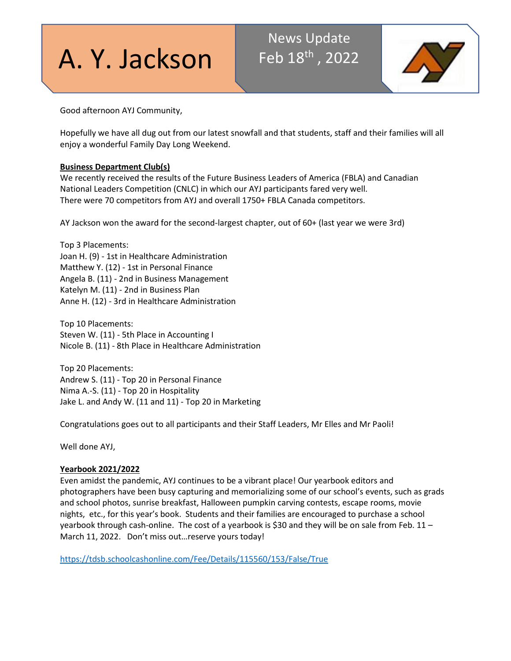# A. Y. Jackson

# News Update Feb 18<sup>th</sup>, 2022



Good afternoon AYJ Community,

Hopefully we have all dug out from our latest snowfall and that students, staff and their families will all enjoy a wonderful Family Day Long Weekend.

# **Business Department Club(s)**

We recently received the results of the Future Business Leaders of America (FBLA) and Canadian National Leaders Competition (CNLC) in which our AYJ participants fared very well. There were 70 competitors from AYJ and overall 1750+ FBLA Canada competitors.

AY Jackson won the award for the second-largest chapter, out of 60+ (last year we were 3rd)

Top 3 Placements: Joan H. (9) - 1st in Healthcare Administration Matthew Y. (12) - 1st in Personal Finance Angela B. (11) - 2nd in Business Management Katelyn M. (11) - 2nd in Business Plan Anne H. (12) - 3rd in Healthcare Administration

Top 10 Placements: Steven W. (11) - 5th Place in Accounting I Nicole B. (11) - 8th Place in Healthcare Administration

Top 20 Placements: Andrew S. (11) - Top 20 in Personal Finance Nima A.-S. (11) - Top 20 in Hospitality Jake L. and Andy W. (11 and 11) - Top 20 in Marketing

Congratulations goes out to all participants and their Staff Leaders, Mr Elles and Mr Paoli!

Well done AYJ,

## **Yearbook 2021/2022**

Even amidst the pandemic, AYJ continues to be a vibrant place! Our yearbook editors and photographers have been busy capturing and memorializing some of our school's events, such as grads and school photos, sunrise breakfast, Halloween pumpkin carving contests, escape rooms, movie nights, etc., for this year's book. Students and their families are encouraged to purchase a school yearbook through cash-online. The cost of a yearbook is \$30 and they will be on sale from Feb. 11 – March 11, 2022. Don't miss out…reserve yours today!

<https://tdsb.schoolcashonline.com/Fee/Details/115560/153/False/True>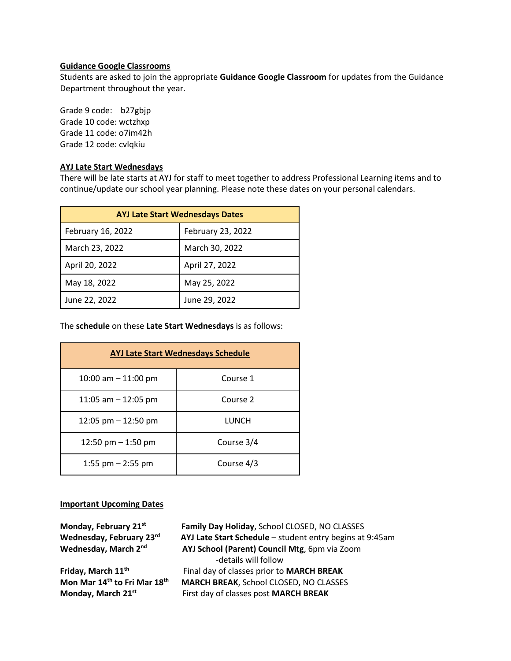#### **Guidance Google Classrooms**

Students are asked to join the appropriate **Guidance Google Classroom** for updates from the Guidance Department throughout the year.

Grade 9 code: b27gbjp Grade 10 code: wctzhxp Grade 11 code: o7im42h Grade 12 code: cvlqkiu

#### **AYJ Late Start Wednesdays**

There will be late starts at AYJ for staff to meet together to address Professional Learning items and to continue/update our school year planning. Please note these dates on your personal calendars.

| <b>AYJ Late Start Wednesdays Dates</b> |                   |
|----------------------------------------|-------------------|
| February 16, 2022                      | February 23, 2022 |
| March 23, 2022                         | March 30, 2022    |
| April 20, 2022                         | April 27, 2022    |
| May 18, 2022                           | May 25, 2022      |
| June 22, 2022                          | June 29, 2022     |

The **schedule** on these **Late Start Wednesdays** is as follows:

| <b>AYJ Late Start Wednesdays Schedule</b> |            |  |
|-------------------------------------------|------------|--|
| 10:00 am $-$ 11:00 pm                     | Course 1   |  |
| 11:05 am $-$ 12:05 pm                     | Course 2   |  |
| 12:05 pm $-$ 12:50 pm                     | LUNCH      |  |
| 12:50 pm $-$ 1:50 pm                      | Course 3/4 |  |
| 1:55 pm $-$ 2:55 pm                       | Course 4/3 |  |

#### **Important Upcoming Dates**

| Monday, February 21st<br>Wednesday, February 23rd<br>Wednesday, March 2nd | Family Day Holiday, School CLOSED, NO CLASSES<br>AYJ Late Start Schedule - student entry begins at 9:45am<br>AYJ School (Parent) Council Mtg, 6pm via Zoom |
|---------------------------------------------------------------------------|------------------------------------------------------------------------------------------------------------------------------------------------------------|
|                                                                           | -details will follow                                                                                                                                       |
| Friday, March 11 <sup>th</sup>                                            | Final day of classes prior to MARCH BREAK                                                                                                                  |
| Mon Mar 14 <sup>th</sup> to Fri Mar 18 <sup>th</sup>                      | <b>MARCH BREAK, School CLOSED, NO CLASSES</b>                                                                                                              |
| Monday, March 21st                                                        | First day of classes post MARCH BREAK                                                                                                                      |